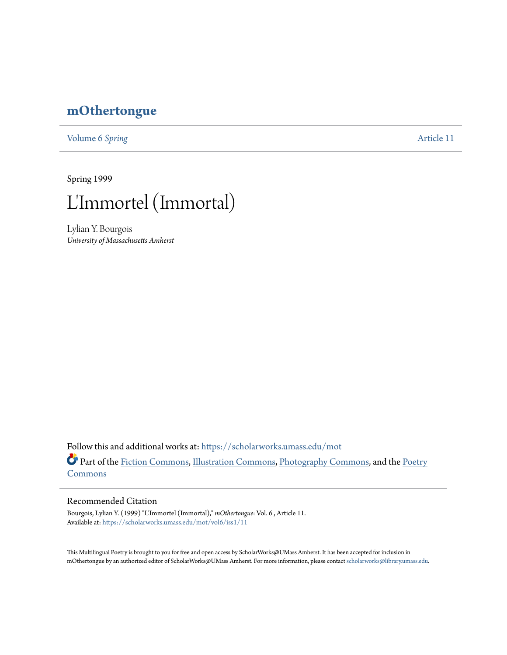## **[mOthertongue](https://scholarworks.umass.edu/mot?utm_source=scholarworks.umass.edu%2Fmot%2Fvol6%2Fiss1%2F11&utm_medium=PDF&utm_campaign=PDFCoverPages)**

[Volume 6](https://scholarworks.umass.edu/mot/vol6?utm_source=scholarworks.umass.edu%2Fmot%2Fvol6%2Fiss1%2F11&utm_medium=PDF&utm_campaign=PDFCoverPages) Spring **[Article 11](https://scholarworks.umass.edu/mot/vol6/iss1/11?utm_source=scholarworks.umass.edu%2Fmot%2Fvol6%2Fiss1%2F11&utm_medium=PDF&utm_campaign=PDFCoverPages)** 

Spring 1999



Lylian Y. Bourgois *University of Massachusetts Amherst*

Follow this and additional works at: [https://scholarworks.umass.edu/mot](https://scholarworks.umass.edu/mot?utm_source=scholarworks.umass.edu%2Fmot%2Fvol6%2Fiss1%2F11&utm_medium=PDF&utm_campaign=PDFCoverPages) Part of the [Fiction Commons](http://network.bepress.com/hgg/discipline/1151?utm_source=scholarworks.umass.edu%2Fmot%2Fvol6%2Fiss1%2F11&utm_medium=PDF&utm_campaign=PDFCoverPages), [Illustration Commons,](http://network.bepress.com/hgg/discipline/1135?utm_source=scholarworks.umass.edu%2Fmot%2Fvol6%2Fiss1%2F11&utm_medium=PDF&utm_campaign=PDFCoverPages) [Photography Commons,](http://network.bepress.com/hgg/discipline/1142?utm_source=scholarworks.umass.edu%2Fmot%2Fvol6%2Fiss1%2F11&utm_medium=PDF&utm_campaign=PDFCoverPages) and the [Poetry](http://network.bepress.com/hgg/discipline/1153?utm_source=scholarworks.umass.edu%2Fmot%2Fvol6%2Fiss1%2F11&utm_medium=PDF&utm_campaign=PDFCoverPages) **[Commons](http://network.bepress.com/hgg/discipline/1153?utm_source=scholarworks.umass.edu%2Fmot%2Fvol6%2Fiss1%2F11&utm_medium=PDF&utm_campaign=PDFCoverPages)** 

## Recommended Citation

Bourgois, Lylian Y. (1999) "L'Immortel (Immortal)," *mOthertongue*: Vol. 6 , Article 11. Available at: [https://scholarworks.umass.edu/mot/vol6/iss1/11](https://scholarworks.umass.edu/mot/vol6/iss1/11?utm_source=scholarworks.umass.edu%2Fmot%2Fvol6%2Fiss1%2F11&utm_medium=PDF&utm_campaign=PDFCoverPages)

This Multilingual Poetry is brought to you for free and open access by ScholarWorks@UMass Amherst. It has been accepted for inclusion in mOthertongue by an authorized editor of ScholarWorks@UMass Amherst. For more information, please contact [scholarworks@library.umass.edu](mailto:scholarworks@library.umass.edu).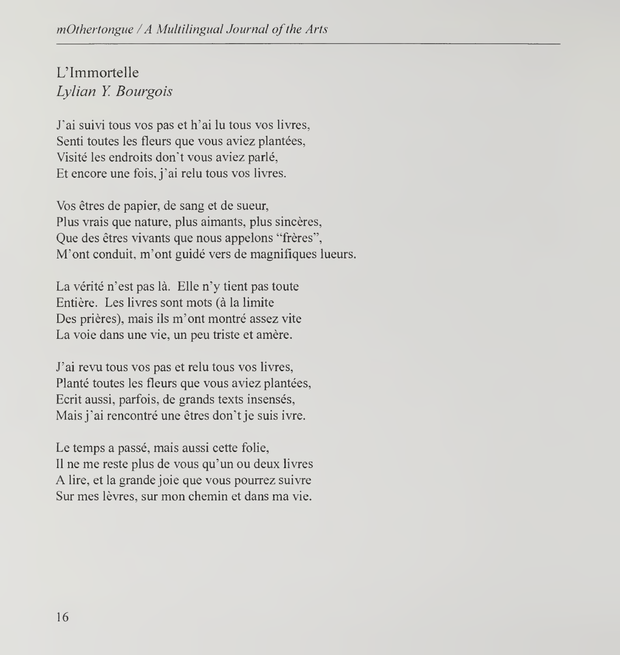## L'Immortelle Lylian Y. Bourgois

J'ai suivi tous vos pas et h'ai lu tous vos livres, Senti toutes les fleurs que vous aviez plantées, Visite les endroits don't vous aviez parle, Et encore une fois, j'ai relu tous vos livres.

Vos etres de papier, de sang et de sueur, Plus vrais que nature, plus aimants, plus sincères, Que des êtres vivants que nous appelons "frères", M'ont conduit, m'ont guide vers de magnifiques lueurs.

La vérité n'est pas là. Elle n'y tient pas toute Entière. Les livres sont mots (à la limite Des prières), mais ils m'ont montré assez vite La voie dans une vie, un peu triste et amère.

J'ai revu tous vos pas et relu tous vos livres, Planté toutes les fleurs que vous aviez plantées, Ecrit aussi, parfois, de grands texts insensés, Mais j'ai rencontré une êtres don't je suis ivre.

Le temps a passé, mais aussi cette folie, II ne me reste plus de vous qu'un ou deux livres A lire, et la grande joie que vous pourrez suivre Sur mes lèvres, sur mon chemin et dans ma vie.